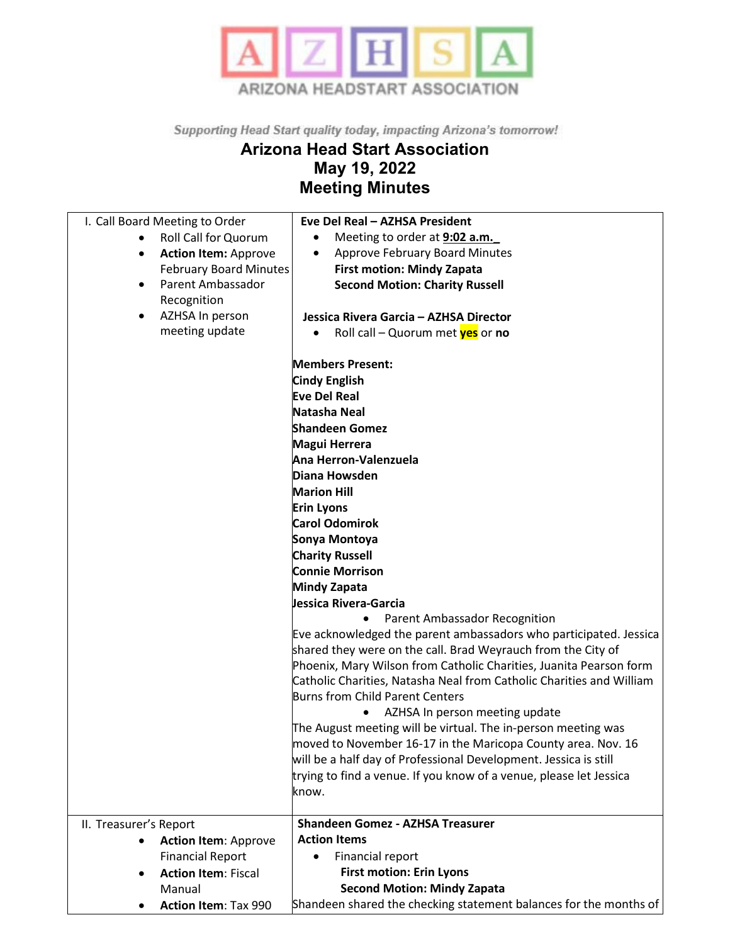

Supporting Head Start quality today, impacting Arizona's tomorrow!

## **Arizona Head Start Association May 19, 2022 Meeting Minutes**

| I. Call Board Meeting to Order           | Eve Del Real - AZHSA President                                       |
|------------------------------------------|----------------------------------------------------------------------|
| <b>Roll Call for Quorum</b><br>$\bullet$ | Meeting to order at 9:02 a.m.                                        |
| <b>Action Item: Approve</b><br>$\bullet$ | <b>Approve February Board Minutes</b><br>$\bullet$                   |
| <b>February Board Minutes</b>            | <b>First motion: Mindy Zapata</b>                                    |
| Parent Ambassador<br>٠                   | <b>Second Motion: Charity Russell</b>                                |
| Recognition                              |                                                                      |
| AZHSA In person<br>٠                     | Jessica Rivera Garcia - AZHSA Director                               |
| meeting update                           | Roll call – Quorum met <b>yes</b> or no<br>$\bullet$                 |
|                                          |                                                                      |
|                                          | <b>Members Present:</b>                                              |
|                                          | <b>Cindy English</b>                                                 |
|                                          | <b>Eve Del Real</b>                                                  |
|                                          | Natasha Neal                                                         |
|                                          | <b>Shandeen Gomez</b>                                                |
|                                          | Magui Herrera                                                        |
|                                          | Ana Herron-Valenzuela                                                |
|                                          | Diana Howsden                                                        |
|                                          | <b>Marion Hill</b>                                                   |
|                                          | <b>Erin Lyons</b>                                                    |
|                                          | <b>Carol Odomirok</b>                                                |
|                                          | Sonya Montoya                                                        |
|                                          | <b>Charity Russell</b>                                               |
|                                          | <b>Connie Morrison</b>                                               |
|                                          | Mindy Zapata                                                         |
|                                          | Jessica Rivera-Garcia                                                |
|                                          | Parent Ambassador Recognition<br>$\bullet$                           |
|                                          | Eve acknowledged the parent ambassadors who participated. Jessica    |
|                                          | shared they were on the call. Brad Weyrauch from the City of         |
|                                          | Phoenix, Mary Wilson from Catholic Charities, Juanita Pearson form   |
|                                          | Catholic Charities, Natasha Neal from Catholic Charities and William |
|                                          | Burns from Child Parent Centers                                      |
|                                          | AZHSA In person meeting update                                       |
|                                          | The August meeting will be virtual. The in-person meeting was        |
|                                          | moved to November 16-17 in the Maricopa County area. Nov. 16         |
|                                          | will be a half day of Professional Development. Jessica is still     |
|                                          | trying to find a venue. If you know of a venue, please let Jessica   |
|                                          | know.                                                                |
|                                          |                                                                      |
| II. Treasurer's Report                   | <b>Shandeen Gomez - AZHSA Treasurer</b>                              |
| <b>Action Item: Approve</b><br>٠         | <b>Action Items</b>                                                  |
| <b>Financial Report</b>                  | Financial report<br>$\bullet$                                        |
| <b>Action Item: Fiscal</b><br>٠          | <b>First motion: Erin Lyons</b>                                      |
| Manual                                   | <b>Second Motion: Mindy Zapata</b>                                   |
| <b>Action Item: Tax 990</b>              | Shandeen shared the checking statement balances for the months of    |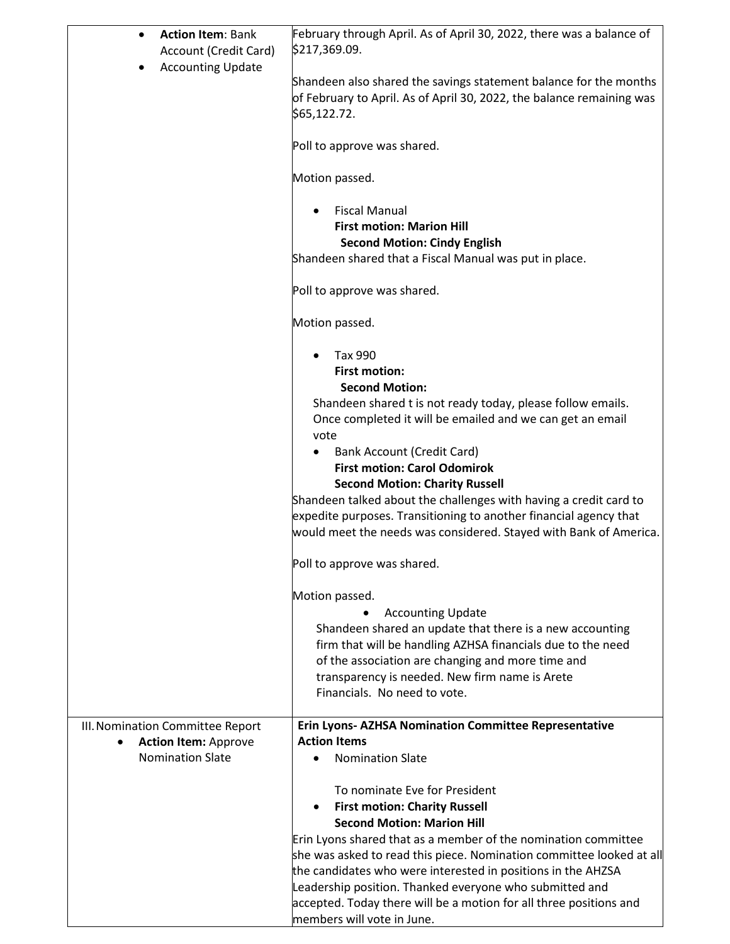| <b>Action Item: Bank</b><br>$\bullet$<br>Account (Credit Card)  | February through April. As of April 30, 2022, there was a balance of<br>\$217,369.09.                                                                      |
|-----------------------------------------------------------------|------------------------------------------------------------------------------------------------------------------------------------------------------------|
| <b>Accounting Update</b>                                        | Shandeen also shared the savings statement balance for the months<br>of February to April. As of April 30, 2022, the balance remaining was<br>\$65,122.72. |
|                                                                 | Poll to approve was shared.                                                                                                                                |
|                                                                 | Motion passed.                                                                                                                                             |
|                                                                 | <b>Fiscal Manual</b><br><b>First motion: Marion Hill</b><br><b>Second Motion: Cindy English</b>                                                            |
|                                                                 | Shandeen shared that a Fiscal Manual was put in place.                                                                                                     |
|                                                                 | Poll to approve was shared.                                                                                                                                |
|                                                                 | Motion passed.                                                                                                                                             |
|                                                                 | Tax 990<br><b>First motion:</b>                                                                                                                            |
|                                                                 | <b>Second Motion:</b>                                                                                                                                      |
|                                                                 |                                                                                                                                                            |
|                                                                 | Shandeen shared t is not ready today, please follow emails.<br>Once completed it will be emailed and we can get an email<br>vote                           |
|                                                                 | Bank Account (Credit Card)<br>$\bullet$                                                                                                                    |
|                                                                 | <b>First motion: Carol Odomirok</b>                                                                                                                        |
|                                                                 | <b>Second Motion: Charity Russell</b>                                                                                                                      |
|                                                                 | Shandeen talked about the challenges with having a credit card to                                                                                          |
|                                                                 | expedite purposes. Transitioning to another financial agency that<br>would meet the needs was considered. Stayed with Bank of America.                     |
|                                                                 | Poll to approve was shared.                                                                                                                                |
|                                                                 | Motion passed.                                                                                                                                             |
|                                                                 | <b>Accounting Update</b>                                                                                                                                   |
|                                                                 | Shandeen shared an update that there is a new accounting                                                                                                   |
|                                                                 | firm that will be handling AZHSA financials due to the need                                                                                                |
|                                                                 | of the association are changing and more time and                                                                                                          |
|                                                                 | transparency is needed. New firm name is Arete                                                                                                             |
|                                                                 | Financials. No need to vote.                                                                                                                               |
| III. Nomination Committee Report<br><b>Action Item: Approve</b> | Erin Lyons- AZHSA Nomination Committee Representative<br><b>Action Items</b>                                                                               |
| <b>Nomination Slate</b>                                         | <b>Nomination Slate</b><br>$\bullet$                                                                                                                       |
|                                                                 | To nominate Eve for President                                                                                                                              |
|                                                                 | <b>First motion: Charity Russell</b><br>$\bullet$                                                                                                          |
|                                                                 | <b>Second Motion: Marion Hill</b>                                                                                                                          |
|                                                                 | Erin Lyons shared that as a member of the nomination committee                                                                                             |
|                                                                 | she was asked to read this piece. Nomination committee looked at all                                                                                       |
|                                                                 | the candidates who were interested in positions in the AHZSA                                                                                               |
|                                                                 | Leadership position. Thanked everyone who submitted and                                                                                                    |
|                                                                 | accepted. Today there will be a motion for all three positions and                                                                                         |
|                                                                 | members will vote in June.                                                                                                                                 |
|                                                                 |                                                                                                                                                            |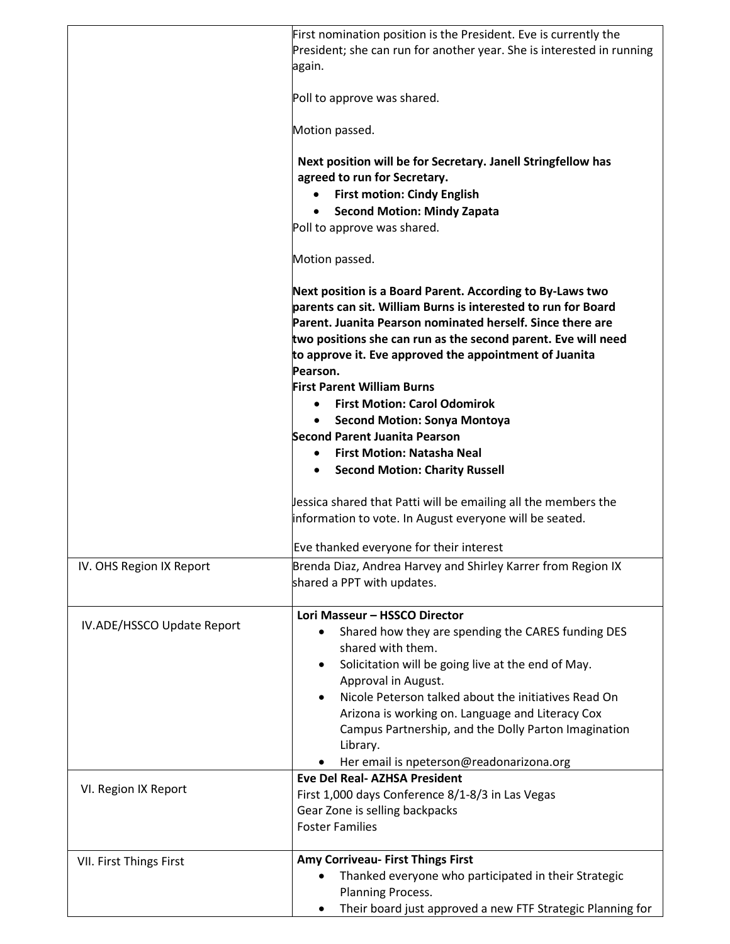|                            | First nomination position is the President. Eve is currently the<br>President; she can run for another year. She is interested in running<br>again.                                                                                                                                                                             |
|----------------------------|---------------------------------------------------------------------------------------------------------------------------------------------------------------------------------------------------------------------------------------------------------------------------------------------------------------------------------|
|                            | Poll to approve was shared.                                                                                                                                                                                                                                                                                                     |
|                            | Motion passed.                                                                                                                                                                                                                                                                                                                  |
|                            | Next position will be for Secretary. Janell Stringfellow has                                                                                                                                                                                                                                                                    |
|                            | agreed to run for Secretary.                                                                                                                                                                                                                                                                                                    |
|                            | <b>First motion: Cindy English</b>                                                                                                                                                                                                                                                                                              |
|                            | <b>Second Motion: Mindy Zapata</b>                                                                                                                                                                                                                                                                                              |
|                            | Poll to approve was shared.                                                                                                                                                                                                                                                                                                     |
|                            | Motion passed.                                                                                                                                                                                                                                                                                                                  |
|                            | Next position is a Board Parent. According to By-Laws two<br>parents can sit. William Burns is interested to run for Board<br>Parent. Juanita Pearson nominated herself. Since there are<br>two positions she can run as the second parent. Eve will need<br>to approve it. Eve approved the appointment of Juanita<br>Pearson. |
|                            | <b>First Parent William Burns</b>                                                                                                                                                                                                                                                                                               |
|                            | <b>First Motion: Carol Odomirok</b>                                                                                                                                                                                                                                                                                             |
|                            | <b>Second Motion: Sonya Montoya</b>                                                                                                                                                                                                                                                                                             |
|                            | Second Parent Juanita Pearson                                                                                                                                                                                                                                                                                                   |
|                            | <b>First Motion: Natasha Neal</b>                                                                                                                                                                                                                                                                                               |
|                            | <b>Second Motion: Charity Russell</b>                                                                                                                                                                                                                                                                                           |
|                            |                                                                                                                                                                                                                                                                                                                                 |
|                            | Jessica shared that Patti will be emailing all the members the                                                                                                                                                                                                                                                                  |
|                            |                                                                                                                                                                                                                                                                                                                                 |
|                            | information to vote. In August everyone will be seated.                                                                                                                                                                                                                                                                         |
|                            | Eve thanked everyone for their interest                                                                                                                                                                                                                                                                                         |
| IV. OHS Region IX Report   | Brenda Diaz, Andrea Harvey and Shirley Karrer from Region IX                                                                                                                                                                                                                                                                    |
|                            | shared a PPT with updates.                                                                                                                                                                                                                                                                                                      |
|                            | Lori Masseur - HSSCO Director                                                                                                                                                                                                                                                                                                   |
| IV.ADE/HSSCO Update Report | Shared how they are spending the CARES funding DES                                                                                                                                                                                                                                                                              |
|                            | shared with them.                                                                                                                                                                                                                                                                                                               |
|                            | Solicitation will be going live at the end of May.<br>٠                                                                                                                                                                                                                                                                         |
|                            | Approval in August.                                                                                                                                                                                                                                                                                                             |
|                            | Nicole Peterson talked about the initiatives Read On                                                                                                                                                                                                                                                                            |
|                            | Arizona is working on. Language and Literacy Cox                                                                                                                                                                                                                                                                                |
|                            | Campus Partnership, and the Dolly Parton Imagination                                                                                                                                                                                                                                                                            |
|                            | Library.                                                                                                                                                                                                                                                                                                                        |
|                            | Her email is npeterson@readonarizona.org                                                                                                                                                                                                                                                                                        |
| VI. Region IX Report       | <b>Eve Del Real- AZHSA President</b>                                                                                                                                                                                                                                                                                            |
|                            | First 1,000 days Conference 8/1-8/3 in Las Vegas                                                                                                                                                                                                                                                                                |
|                            | Gear Zone is selling backpacks                                                                                                                                                                                                                                                                                                  |
|                            | <b>Foster Families</b>                                                                                                                                                                                                                                                                                                          |
| VII. First Things First    | Amy Corriveau- First Things First                                                                                                                                                                                                                                                                                               |
|                            | Thanked everyone who participated in their Strategic                                                                                                                                                                                                                                                                            |
|                            | Planning Process.                                                                                                                                                                                                                                                                                                               |
|                            | Their board just approved a new FTF Strategic Planning for<br>٠                                                                                                                                                                                                                                                                 |